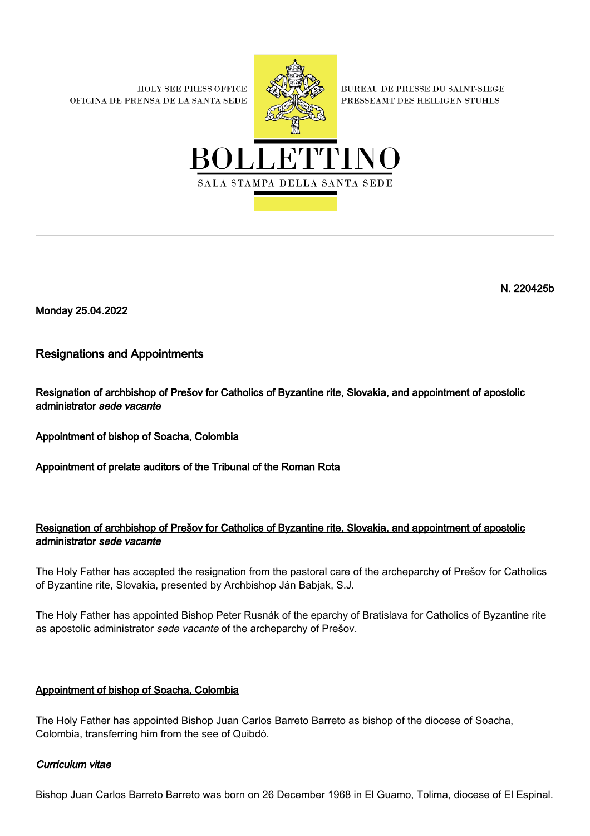**HOLY SEE PRESS OFFICE** OFICINA DE PRENSA DE LA SANTA SEDE



**BUREAU DE PRESSE DU SAINT-SIEGE** PRESSEAMT DES HEILIGEN STUHLS



N. 220425b

Monday 25.04.2022

Resignations and Appointments

Resignation of archbishop of Prešov for Catholics of Byzantine rite, Slovakia, and appointment of apostolic administrator sede vacante

Appointment of bishop of Soacha, Colombia

Appointment of prelate auditors of the Tribunal of the Roman Rota

## Resignation of archbishop of Prešov for Catholics of Byzantine rite, Slovakia, and appointment of apostolic administrator sede vacante

The Holy Father has accepted the resignation from the pastoral care of the archeparchy of Prešov for Catholics of Byzantine rite, Slovakia, presented by Archbishop Ján Babjak, S.J.

The Holy Father has appointed Bishop Peter Rusnák of the eparchy of Bratislava for Catholics of Byzantine rite as apostolic administrator sede vacante of the archeparchy of Prešov.

## Appointment of bishop of Soacha, Colombia

The Holy Father has appointed Bishop Juan Carlos Barreto Barreto as bishop of the diocese of Soacha, Colombia, transferring him from the see of Quibdó.

## Curriculum vitae

Bishop Juan Carlos Barreto Barreto was born on 26 December 1968 in El Guamo, Tolima, diocese of El Espinal.